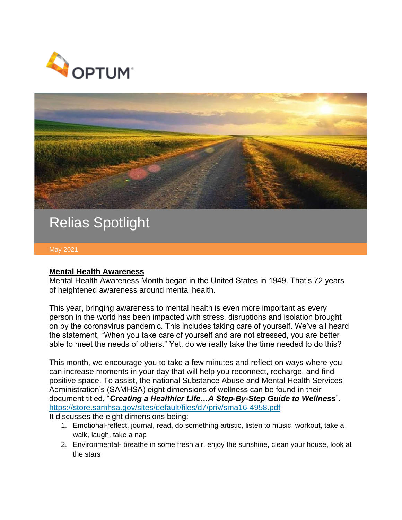



## Relias Spotlight

May 2021

## **Mental Health Awareness**

Mental Health Awareness Month began in the United States in 1949. That's 72 years of heightened awareness around mental health.

This year, bringing awareness to mental health is even more important as every person in the world has been impacted with stress, disruptions and isolation brought on by the coronavirus pandemic. This includes taking care of yourself. We've all heard the statement, "When you take care of yourself and are not stressed, you are better able to meet the needs of others." Yet, do we really take the time needed to do this?

This month, we encourage you to take a few minutes and reflect on ways where you can increase moments in your day that will help you reconnect, recharge, and find positive space. To assist, the national Substance Abuse and Mental Health Services Administration's (SAMHSA) eight dimensions of wellness can be found in their document titled, "*Creating a Healthier Life…A Step-By-Step Guide to Wellness*". <https://store.samhsa.gov/sites/default/files/d7/priv/sma16-4958.pdf>

It discusses the eight dimensions being:

- 1. Emotional-reflect, journal, read, do something artistic, listen to music, workout, take a walk, laugh, take a nap
- 2. Environmental- breathe in some fresh air, enjoy the sunshine, clean your house, look at the stars